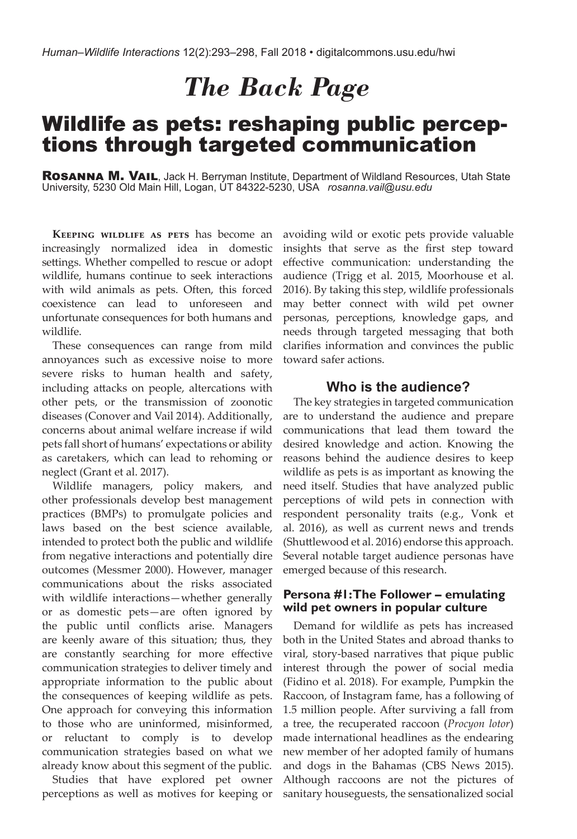# *The Back Page*

# Wildlife as pets: reshaping public perceptions through targeted communication

ROSANNA M. VAIL, Jack H. Berryman Institute, Department of Wildland Resources, Utah State University, 5230 Old Main Hill, Logan, UT 84322-5230, USA *rosanna.vail@usu.edu*

**Keeping wildlife as pets** has become an increasingly normalized idea in domestic settings. Whether compelled to rescue or adopt wildlife, humans continue to seek interactions with wild animals as pets. Often, this forced coexistence can lead to unforeseen and unfortunate consequences for both humans and wildlife.

These consequences can range from mild annoyances such as excessive noise to more severe risks to human health and safety, including attacks on people, altercations with other pets, or the transmission of zoonotic diseases (Conover and Vail 2014). Additionally, concerns about animal welfare increase if wild pets fall short of humans' expectations or ability as caretakers, which can lead to rehoming or neglect (Grant et al. 2017).

Wildlife managers, policy makers, and other professionals develop best management practices (BMPs) to promulgate policies and laws based on the best science available, intended to protect both the public and wildlife from negative interactions and potentially dire outcomes (Messmer 2000). However, manager communications about the risks associated with wildlife interactions—whether generally or as domestic pets—are often ignored by the public until conflicts arise. Managers are keenly aware of this situation; thus, they are constantly searching for more effective communication strategies to deliver timely and appropriate information to the public about the consequences of keeping wildlife as pets. One approach for conveying this information to those who are uninformed, misinformed, or reluctant to comply is to develop communication strategies based on what we already know about this segment of the public.

Studies that have explored pet owner perceptions as well as motives for keeping or

avoiding wild or exotic pets provide valuable insights that serve as the first step toward effective communication: understanding the audience (Trigg et al. 2015, Moorhouse et al. 2016). By taking this step, wildlife professionals may better connect with wild pet owner personas, perceptions, knowledge gaps, and needs through targeted messaging that both clarifies information and convinces the public toward safer actions.

# **Who is the audience?**

The key strategies in targeted communication are to understand the audience and prepare communications that lead them toward the desired knowledge and action. Knowing the reasons behind the audience desires to keep wildlife as pets is as important as knowing the need itself. Studies that have analyzed public perceptions of wild pets in connection with respondent personality traits (e.g., Vonk et al. 2016), as well as current news and trends (Shuttlewood et al. 2016) endorse this approach. Several notable target audience personas have emerged because of this research.

#### **Persona #1: The Follower – emulating wild pet owners in popular culture**

Demand for wildlife as pets has increased both in the United States and abroad thanks to viral, story-based narratives that pique public interest through the power of social media (Fidino et al. 2018). For example, Pumpkin the Raccoon, of Instagram fame, has a following of 1.5 million people. After surviving a fall from a tree, the recuperated raccoon (*Procyon lotor*) made international headlines as the endearing new member of her adopted family of humans and dogs in the Bahamas (CBS News 2015). Although raccoons are not the pictures of sanitary houseguests, the sensationalized social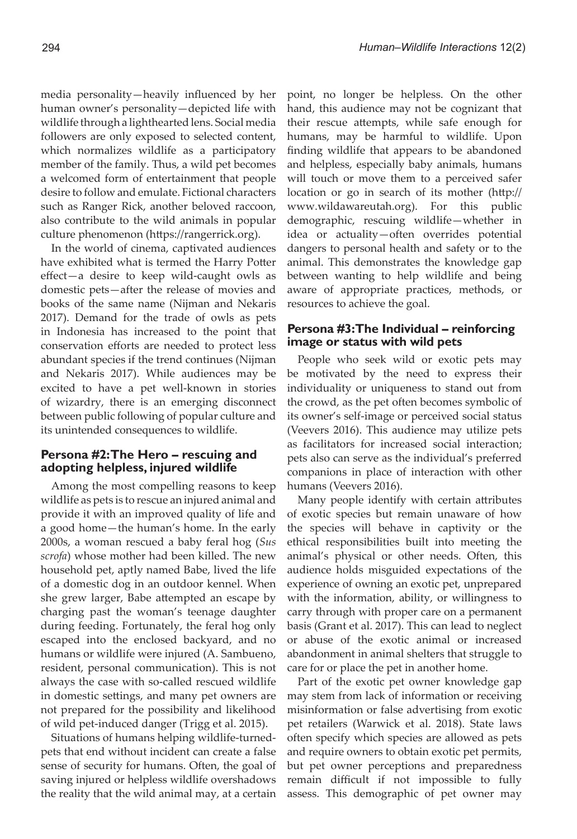media personality—heavily influenced by her human owner's personality—depicted life with wildlife through a lighthearted lens. Social media followers are only exposed to selected content, which normalizes wildlife as a participatory member of the family. Thus, a wild pet becomes a welcomed form of entertainment that people desire to follow and emulate. Fictional characters such as Ranger Rick, another beloved raccoon, also contribute to the wild animals in popular culture phenomenon (https://rangerrick.org).

In the world of cinema, captivated audiences have exhibited what is termed the Harry Potter effect—a desire to keep wild-caught owls as domestic pets—after the release of movies and books of the same name (Nijman and Nekaris 2017). Demand for the trade of owls as pets in Indonesia has increased to the point that conservation efforts are needed to protect less abundant species if the trend continues (Nijman and Nekaris 2017). While audiences may be excited to have a pet well-known in stories of wizardry, there is an emerging disconnect between public following of popular culture and its unintended consequences to wildlife.

#### **Persona #2: The Hero – rescuing and adopting helpless, injured wildlife**

Among the most compelling reasons to keep wildlife as pets is to rescue an injured animal and provide it with an improved quality of life and a good home—the human's home. In the early 2000s, a woman rescued a baby feral hog (*Sus scrofa*) whose mother had been killed. The new household pet, aptly named Babe, lived the life of a domestic dog in an outdoor kennel. When she grew larger, Babe attempted an escape by charging past the woman's teenage daughter during feeding. Fortunately, the feral hog only escaped into the enclosed backyard, and no humans or wildlife were injured (A. Sambueno, resident, personal communication). This is not always the case with so-called rescued wildlife in domestic settings, and many pet owners are not prepared for the possibility and likelihood of wild pet-induced danger (Trigg et al. 2015).

Situations of humans helping wildlife-turnedpets that end without incident can create a false sense of security for humans. Often, the goal of saving injured or helpless wildlife overshadows the reality that the wild animal may, at a certain point, no longer be helpless. On the other hand, this audience may not be cognizant that their rescue attempts, while safe enough for humans, may be harmful to wildlife. Upon finding wildlife that appears to be abandoned and helpless, especially baby animals, humans will touch or move them to a perceived safer location or go in search of its mother (http:// www.wildawareutah.org). For this public demographic, rescuing wildlife—whether in idea or actuality—often overrides potential dangers to personal health and safety or to the animal. This demonstrates the knowledge gap between wanting to help wildlife and being aware of appropriate practices, methods, or resources to achieve the goal.

#### **Persona #3: The Individual – reinforcing image or status with wild pets**

People who seek wild or exotic pets may be motivated by the need to express their individuality or uniqueness to stand out from the crowd, as the pet often becomes symbolic of its owner's self-image or perceived social status (Veevers 2016). This audience may utilize pets as facilitators for increased social interaction; pets also can serve as the individual's preferred companions in place of interaction with other humans (Veevers 2016).

Many people identify with certain attributes of exotic species but remain unaware of how the species will behave in captivity or the ethical responsibilities built into meeting the animal's physical or other needs. Often, this audience holds misguided expectations of the experience of owning an exotic pet, unprepared with the information, ability, or willingness to carry through with proper care on a permanent basis (Grant et al. 2017). This can lead to neglect or abuse of the exotic animal or increased abandonment in animal shelters that struggle to care for or place the pet in another home.

Part of the exotic pet owner knowledge gap may stem from lack of information or receiving misinformation or false advertising from exotic pet retailers (Warwick et al. 2018). State laws often specify which species are allowed as pets and require owners to obtain exotic pet permits, but pet owner perceptions and preparedness remain difficult if not impossible to fully assess. This demographic of pet owner may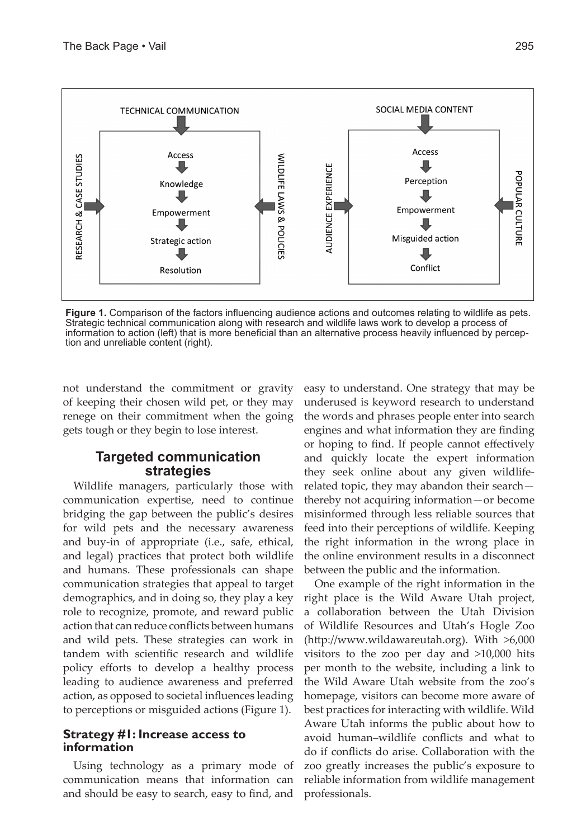

**Figure 1.** Comparison of the factors influencing audience actions and outcomes relating to wildlife as pets. Strategic technical communication along with research and wildlife laws work to develop a process of information to action (left) that is more beneficial than an alternative process heavily influenced by perception and unreliable content (right).

not understand the commitment or gravity of keeping their chosen wild pet, or they may renege on their commitment when the going gets tough or they begin to lose interest.

#### **Targeted communication strategies**

Wildlife managers, particularly those with communication expertise, need to continue bridging the gap between the public's desires for wild pets and the necessary awareness and buy-in of appropriate (i.e., safe, ethical, and legal) practices that protect both wildlife and humans. These professionals can shape communication strategies that appeal to target demographics, and in doing so, they play a key role to recognize, promote, and reward public action that can reduce conflicts between humans and wild pets. These strategies can work in tandem with scientific research and wildlife policy efforts to develop a healthy process leading to audience awareness and preferred action, as opposed to societal influences leading to perceptions or misguided actions (Figure 1).

#### **Strategy #1: Increase access to information**

Using technology as a primary mode of communication means that information can and should be easy to search, easy to find, and

easy to understand. One strategy that may be underused is keyword research to understand the words and phrases people enter into search engines and what information they are finding or hoping to find. If people cannot effectively and quickly locate the expert information they seek online about any given wildliferelated topic, they may abandon their search thereby not acquiring information—or become misinformed through less reliable sources that feed into their perceptions of wildlife. Keeping the right information in the wrong place in the online environment results in a disconnect between the public and the information.

One example of the right information in the right place is the Wild Aware Utah project, a collaboration between the Utah Division of Wildlife Resources and Utah's Hogle Zoo (http://www.wildawareutah.org). With >6,000 visitors to the zoo per day and >10,000 hits per month to the website, including a link to the Wild Aware Utah website from the zoo's homepage, visitors can become more aware of best practices for interacting with wildlife. Wild Aware Utah informs the public about how to avoid human–wildlife conflicts and what to do if conflicts do arise. Collaboration with the zoo greatly increases the public's exposure to reliable information from wildlife management professionals.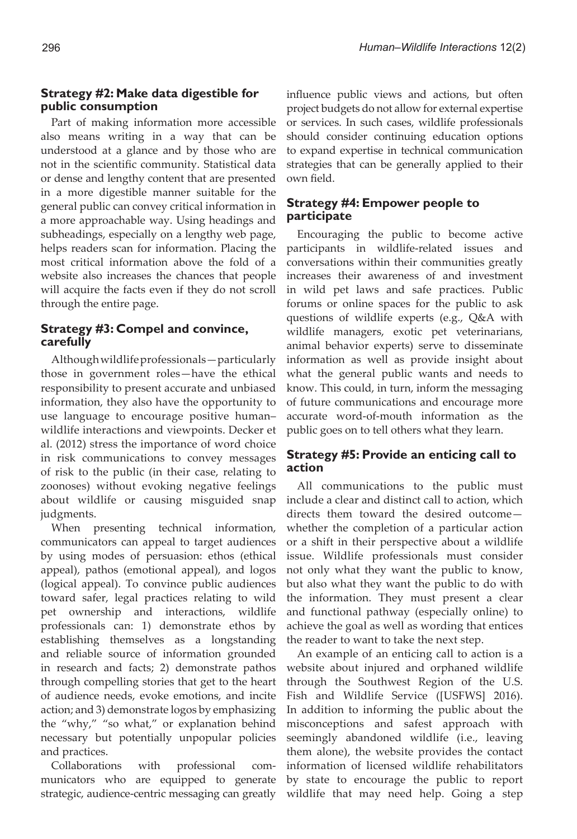#### **Strategy #2: Make data digestible for public consumption**

Part of making information more accessible also means writing in a way that can be understood at a glance and by those who are not in the scientific community. Statistical data or dense and lengthy content that are presented in a more digestible manner suitable for the general public can convey critical information in a more approachable way. Using headings and subheadings, especially on a lengthy web page, helps readers scan for information. Placing the most critical information above the fold of a website also increases the chances that people will acquire the facts even if they do not scroll through the entire page.

#### **Strategy #3: Compel and convince, carefully**

Although wildlife professionals—particularly those in government roles—have the ethical responsibility to present accurate and unbiased information, they also have the opportunity to use language to encourage positive human– wildlife interactions and viewpoints. Decker et al. (2012) stress the importance of word choice in risk communications to convey messages of risk to the public (in their case, relating to zoonoses) without evoking negative feelings about wildlife or causing misguided snap judgments.

When presenting technical information, communicators can appeal to target audiences by using modes of persuasion: ethos (ethical appeal), pathos (emotional appeal), and logos (logical appeal). To convince public audiences toward safer, legal practices relating to wild pet ownership and interactions, wildlife professionals can: 1) demonstrate ethos by establishing themselves as a longstanding and reliable source of information grounded in research and facts; 2) demonstrate pathos through compelling stories that get to the heart of audience needs, evoke emotions, and incite action; and 3) demonstrate logos by emphasizing the "why," "so what," or explanation behind necessary but potentially unpopular policies and practices.

Collaborations with professional communicators who are equipped to generate strategic, audience-centric messaging can greatly

influence public views and actions, but often project budgets do not allow for external expertise or services. In such cases, wildlife professionals should consider continuing education options to expand expertise in technical communication strategies that can be generally applied to their own field.

#### **Strategy #4: Empower people to participate**

Encouraging the public to become active participants in wildlife-related issues and conversations within their communities greatly increases their awareness of and investment in wild pet laws and safe practices. Public forums or online spaces for the public to ask questions of wildlife experts (e.g., Q&A with wildlife managers, exotic pet veterinarians, animal behavior experts) serve to disseminate information as well as provide insight about what the general public wants and needs to know. This could, in turn, inform the messaging of future communications and encourage more accurate word-of-mouth information as the public goes on to tell others what they learn.

#### **Strategy #5: Provide an enticing call to action**

All communications to the public must include a clear and distinct call to action, which directs them toward the desired outcome whether the completion of a particular action or a shift in their perspective about a wildlife issue. Wildlife professionals must consider not only what they want the public to know, but also what they want the public to do with the information. They must present a clear and functional pathway (especially online) to achieve the goal as well as wording that entices the reader to want to take the next step.

An example of an enticing call to action is a website about injured and orphaned wildlife through the Southwest Region of the U.S. Fish and Wildlife Service ([USFWS] 2016). In addition to informing the public about the misconceptions and safest approach with seemingly abandoned wildlife (i.e., leaving them alone), the website provides the contact information of licensed wildlife rehabilitators by state to encourage the public to report wildlife that may need help. Going a step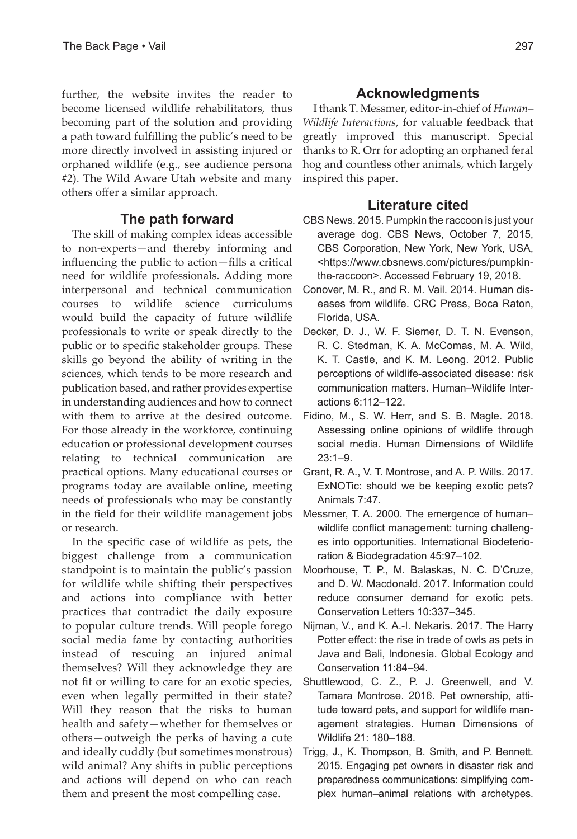further, the website invites the reader to become licensed wildlife rehabilitators, thus becoming part of the solution and providing a path toward fulfilling the public's need to be more directly involved in assisting injured or orphaned wildlife (e.g., see audience persona #2). The Wild Aware Utah website and many others offer a similar approach.

# **The path forward**

The skill of making complex ideas accessible to non-experts—and thereby informing and influencing the public to action—fills a critical need for wildlife professionals. Adding more interpersonal and technical communication courses to wildlife science curriculums would build the capacity of future wildlife professionals to write or speak directly to the public or to specific stakeholder groups. These skills go beyond the ability of writing in the sciences, which tends to be more research and publication based, and rather provides expertise in understanding audiences and how to connect with them to arrive at the desired outcome. For those already in the workforce, continuing education or professional development courses relating to technical communication are practical options. Many educational courses or programs today are available online, meeting needs of professionals who may be constantly in the field for their wildlife management jobs or research.

In the specific case of wildlife as pets, the biggest challenge from a communication standpoint is to maintain the public's passion for wildlife while shifting their perspectives and actions into compliance with better practices that contradict the daily exposure to popular culture trends. Will people forego social media fame by contacting authorities instead of rescuing an injured animal themselves? Will they acknowledge they are not fit or willing to care for an exotic species, even when legally permitted in their state? Will they reason that the risks to human health and safety—whether for themselves or others—outweigh the perks of having a cute and ideally cuddly (but sometimes monstrous) wild animal? Any shifts in public perceptions and actions will depend on who can reach them and present the most compelling case.

# **Acknowledgments**

I thank T. Messmer, editor-in-chief of *Human– Wildlife Interactions*, for valuable feedback that greatly improved this manuscript. Special thanks to R. Orr for adopting an orphaned feral hog and countless other animals, which largely inspired this paper.

### **Literature cited**

- CBS News. 2015. Pumpkin the raccoon is just your average dog. CBS News, October 7, 2015, CBS Corporation, New York, New York, USA, <https://www.cbsnews.com/pictures/pumpkinthe-raccoon>. Accessed February 19, 2018.
- Conover, M. R., and R. M. Vail. 2014. Human diseases from wildlife. CRC Press, Boca Raton, Florida, USA.
- Decker, D. J., W. F. Siemer, D. T. N. Evenson, R. C. Stedman, K. A. McComas, M. A. Wild, K. T. Castle, and K. M. Leong. 2012. Public perceptions of wildlife-associated disease: risk communication matters. Human–Wildlife Interactions 6:112–122.
- Fidino, M., S. W. Herr, and S. B. Magle. 2018. Assessing online opinions of wildlife through social media. Human Dimensions of Wildlife 23:1–9.
- Grant, R. A., V. T. Montrose, and A. P. Wills. 2017. ExNOTic: should we be keeping exotic pets? Animals 7:47.
- Messmer, T. A. 2000. The emergence of human– wildlife conflict management: turning challenges into opportunities. International Biodeterioration & Biodegradation 45:97–102.
- Moorhouse, T. P., M. Balaskas, N. C. D'Cruze, and D. W. Macdonald. 2017. Information could reduce consumer demand for exotic pets. Conservation Letters 10:337–345.
- Nijman, V., and K. A.-I. Nekaris. 2017. The Harry Potter effect: the rise in trade of owls as pets in Java and Bali, Indonesia. Global Ecology and Conservation 11:84–94.
- Shuttlewood, C. Z., P. J. Greenwell, and V. Tamara Montrose. 2016. Pet ownership, attitude toward pets, and support for wildlife management strategies. Human Dimensions of Wildlife 21: 180–188.
- Trigg, J., K. Thompson, B. Smith, and P. Bennett. 2015. Engaging pet owners in disaster risk and preparedness communications: simplifying complex human–animal relations with archetypes.